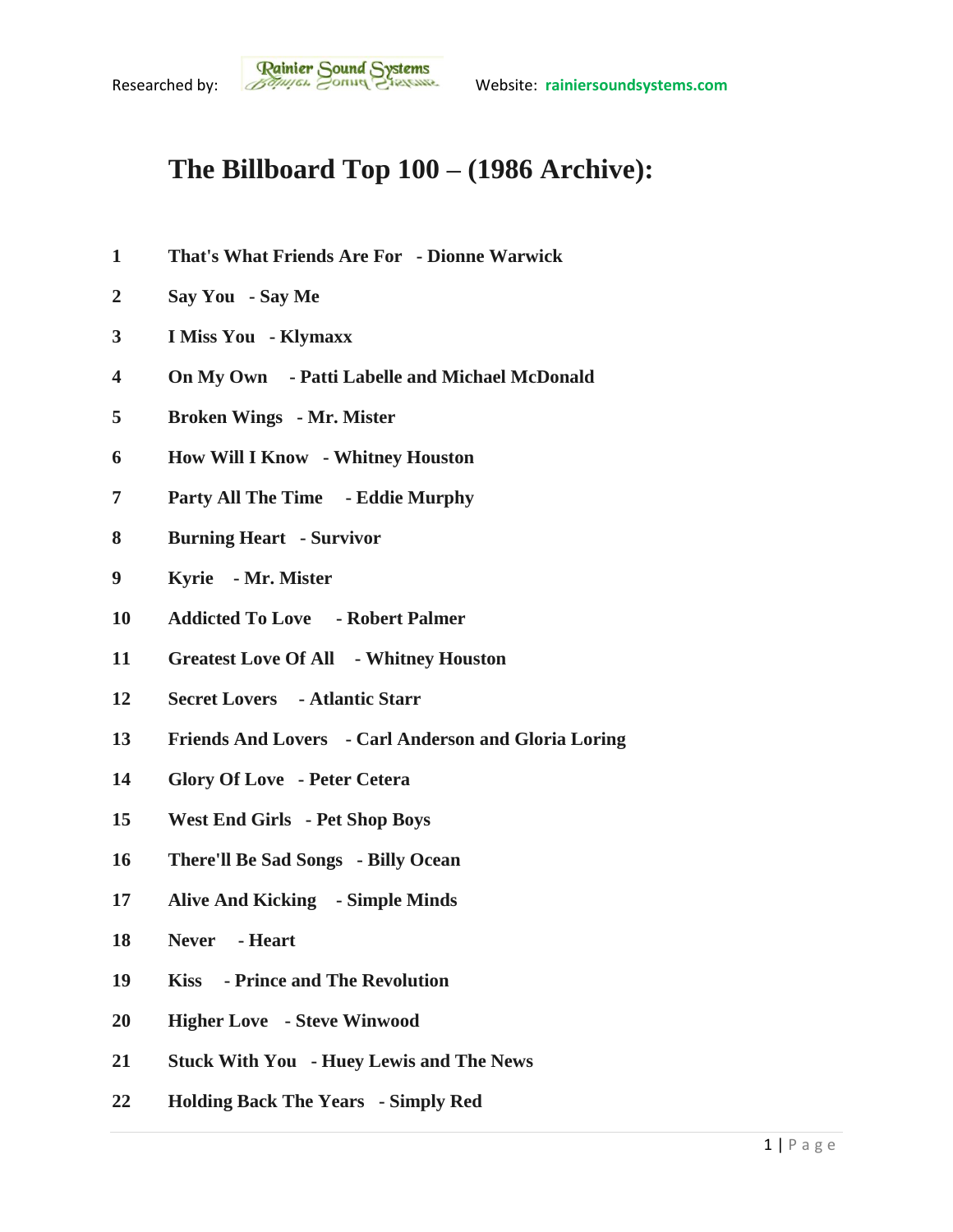## **The Billboard Top 100 – (1986 Archive):**

- **That's What Friends Are For - Dionne Warwick**
- **Say You - Say Me**
- **I Miss You - Klymaxx**
- **On My Own - Patti Labelle and Michael McDonald**
- **Broken Wings - Mr. Mister**
- **How Will I Know - Whitney Houston**
- **Party All The Time - Eddie Murphy**
- **Burning Heart - Survivor**
- **Kyrie - Mr. Mister**
- **Addicted To Love - Robert Palmer**
- **Greatest Love Of All - Whitney Houston**
- **Secret Lovers - Atlantic Starr**
- **Friends And Lovers - Carl Anderson and Gloria Loring**
- **Glory Of Love - Peter Cetera**
- **West End Girls - Pet Shop Boys**
- **There'll Be Sad Songs - Billy Ocean**
- **Alive And Kicking - Simple Minds**
- **Never - Heart**
- **Kiss - Prince and The Revolution**
- **Higher Love - Steve Winwood**
- **Stuck With You - Huey Lewis and The News**
- **Holding Back The Years - Simply Red**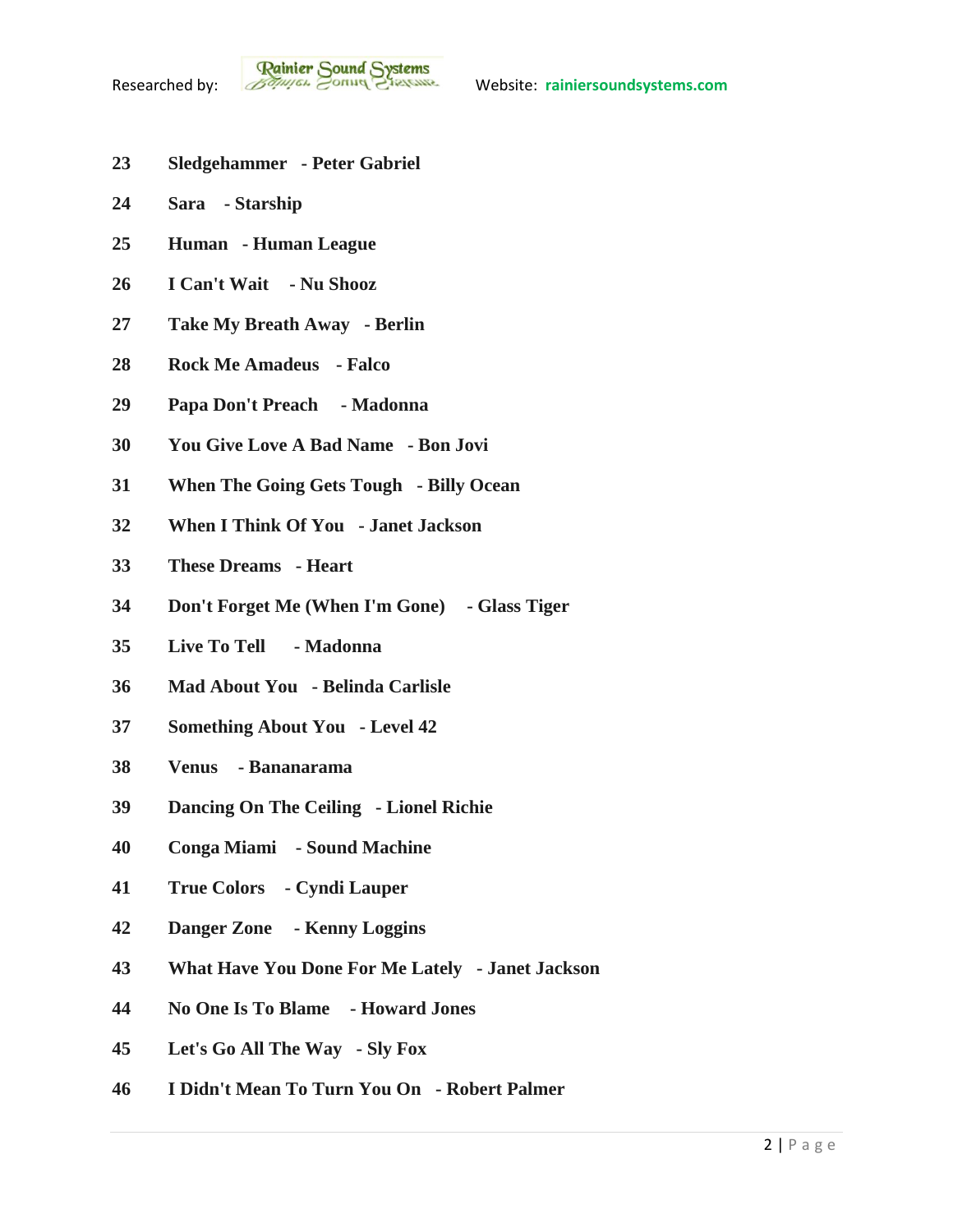- **Sledgehammer - Peter Gabriel**
- **Sara - Starship**
- **Human - Human League**
- **I Can't Wait - Nu Shooz**
- **Take My Breath Away - Berlin**
- **Rock Me Amadeus - Falco**
- **Papa Don't Preach - Madonna**
- **You Give Love A Bad Name - Bon Jovi**
- **When The Going Gets Tough - Billy Ocean**
- **When I Think Of You - Janet Jackson**
- **These Dreams - Heart**
- **Don't Forget Me (When I'm Gone) - Glass Tiger**
- **Live To Tell - Madonna**
- **Mad About You - Belinda Carlisle**
- **Something About You - Level 42**
- **Venus - Bananarama**
- **Dancing On The Ceiling - Lionel Richie**
- **Conga Miami - Sound Machine**
- **True Colors - Cyndi Lauper**
- **Danger Zone - Kenny Loggins**
- **What Have You Done For Me Lately - Janet Jackson**
- **No One Is To Blame - Howard Jones**
- **Let's Go All The Way - Sly Fox**
- **I Didn't Mean To Turn You On - Robert Palmer**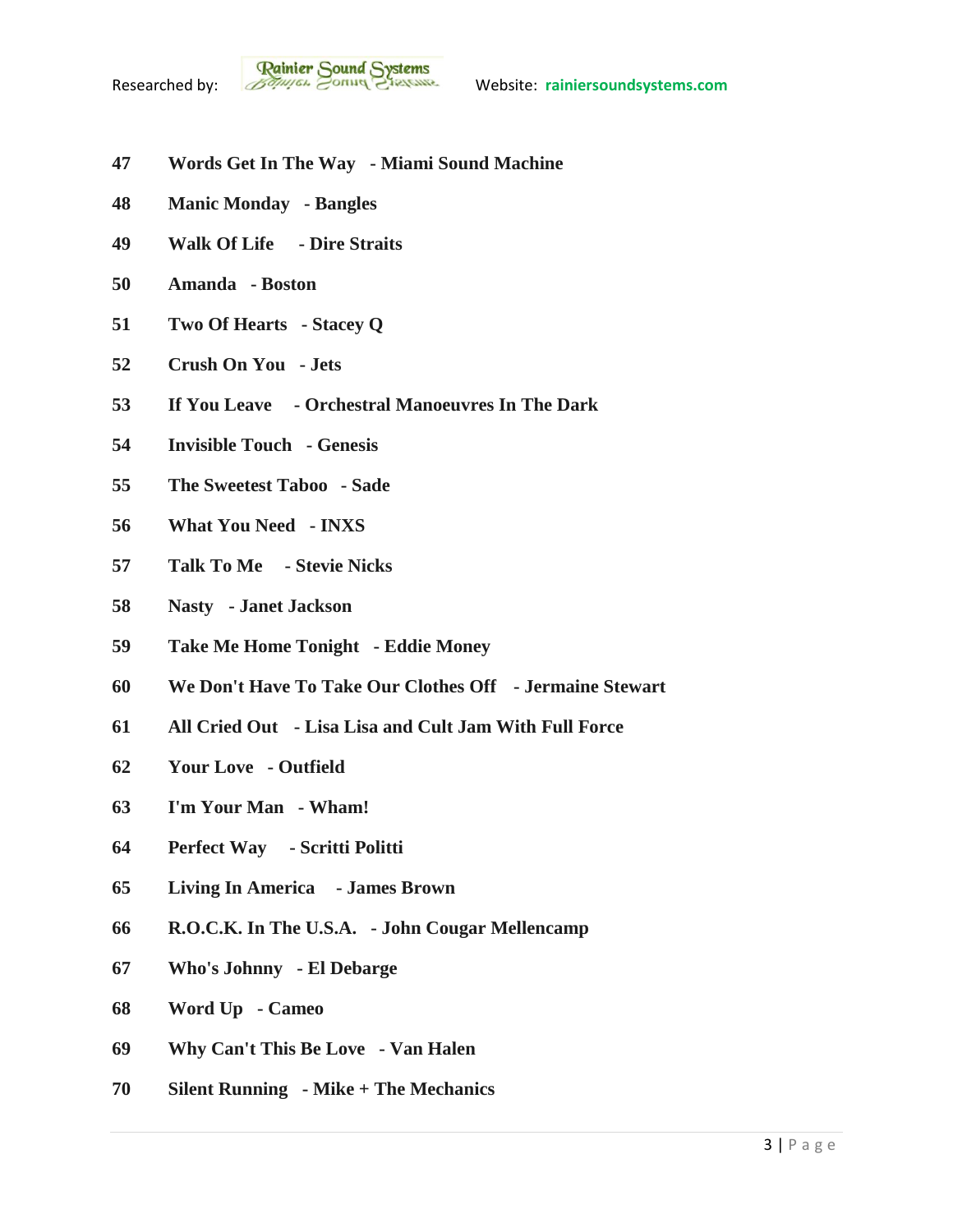

- **Words Get In The Way - Miami Sound Machine**
- **Manic Monday - Bangles**
- **Walk Of Life - Dire Straits**
- **Amanda - Boston**
- **Two Of Hearts - Stacey Q**
- **Crush On You - Jets**
- **If You Leave - Orchestral Manoeuvres In The Dark**
- **Invisible Touch - Genesis**
- **The Sweetest Taboo - Sade**
- **What You Need - INXS**
- **Talk To Me - Stevie Nicks**
- **Nasty - Janet Jackson**
- **Take Me Home Tonight - Eddie Money**
- **We Don't Have To Take Our Clothes Off - Jermaine Stewart**
- **All Cried Out - Lisa Lisa and Cult Jam With Full Force**
- **Your Love - Outfield**
- **I'm Your Man - Wham!**
- **Perfect Way - Scritti Politti**
- **Living In America - James Brown**
- **R.O.C.K. In The U.S.A. - John Cougar Mellencamp**
- **Who's Johnny - El Debarge**
- **Word Up - Cameo**
- **Why Can't This Be Love - Van Halen**
- **Silent Running - Mike + The Mechanics**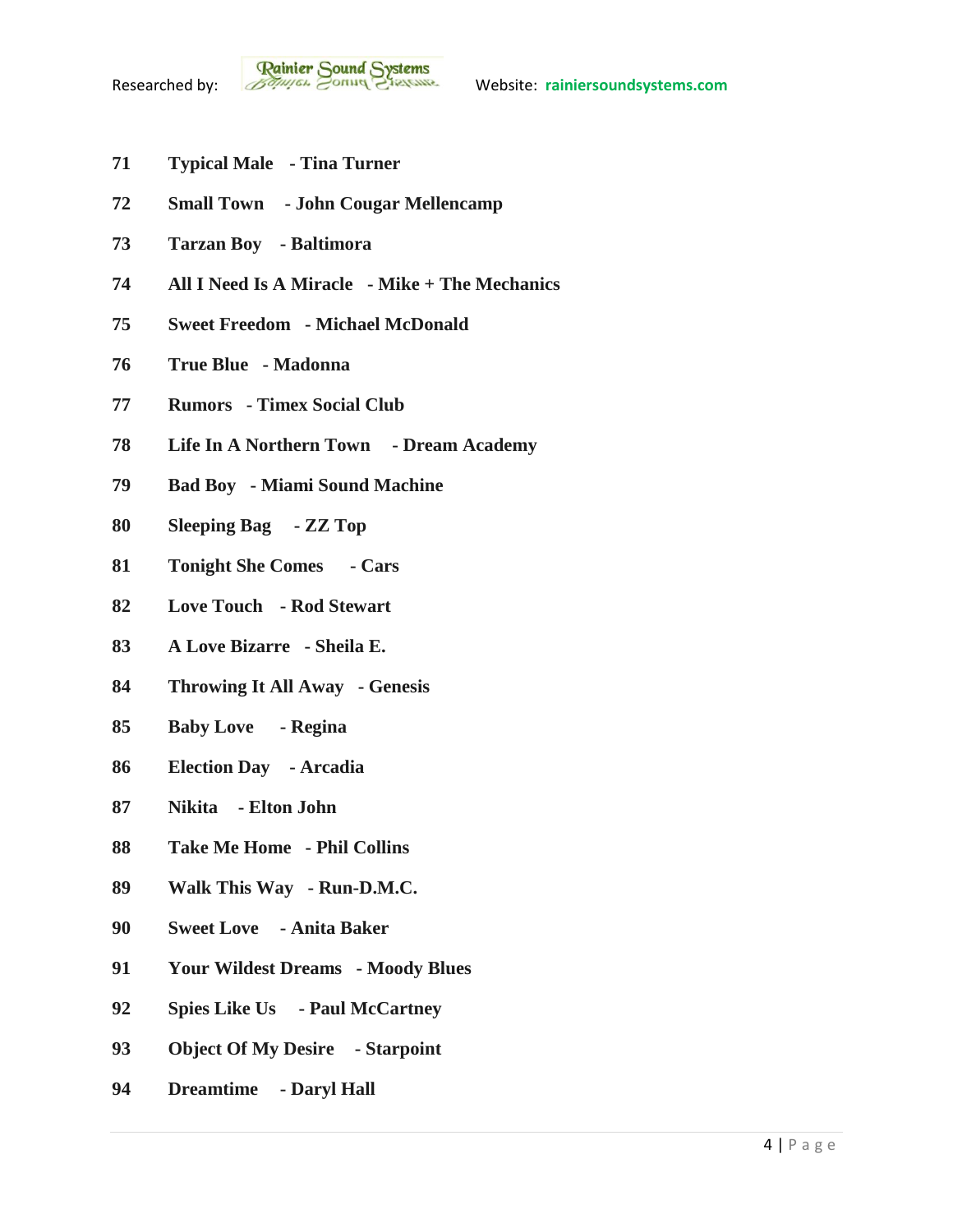- **Typical Male - Tina Turner**
- **Small Town - John Cougar Mellencamp**
- **Tarzan Boy - Baltimora**
- **All I Need Is A Miracle - Mike + The Mechanics**
- **Sweet Freedom - Michael McDonald**
- **True Blue - Madonna**
- **Rumors - Timex Social Club**
- **Life In A Northern Town - Dream Academy**
- **Bad Boy - Miami Sound Machine**
- **Sleeping Bag - ZZ Top**
- **Tonight She Comes - Cars**
- **Love Touch - Rod Stewart**
- **A Love Bizarre - Sheila E.**
- **Throwing It All Away - Genesis**
- **Baby Love - Regina**
- **Election Day - Arcadia**
- **Nikita - Elton John**
- **Take Me Home - Phil Collins**
- **Walk This Way - Run-D.M.C.**
- **Sweet Love - Anita Baker**
- **Your Wildest Dreams - Moody Blues**
- **Spies Like Us - Paul McCartney**
- **Object Of My Desire - Starpoint**
- **Dreamtime - Daryl Hall**